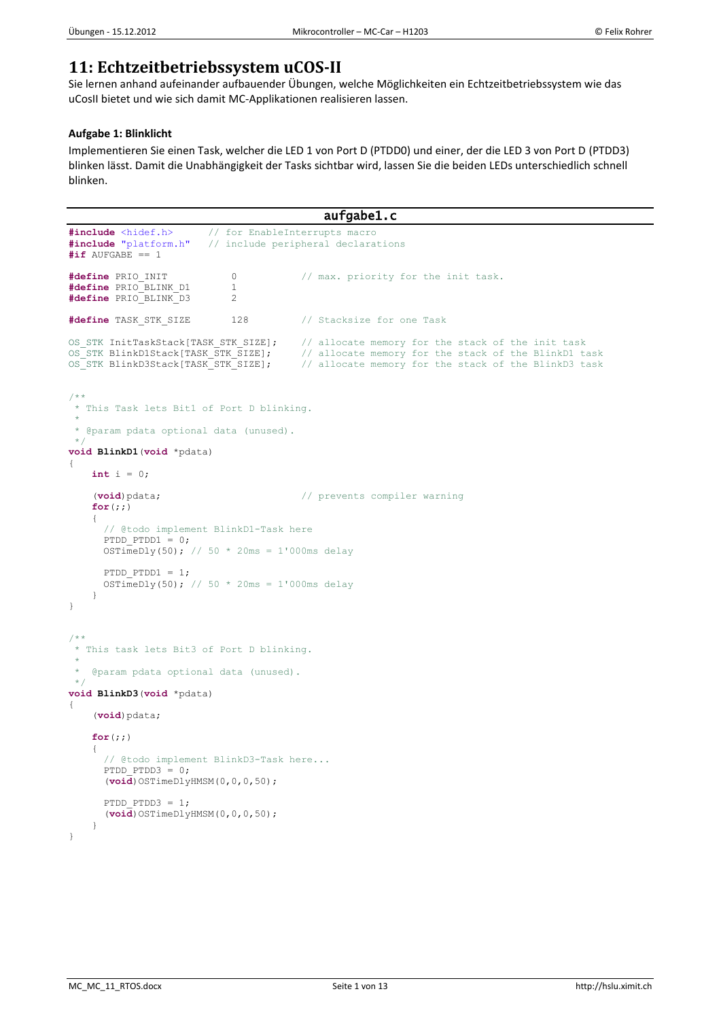# **11: Echtzeitbetriebssystem uCOS-II**

Sie lernen anhand aufeinander aufbauender Übungen, welche Möglichkeiten ein Echtzeitbetriebssystem wie das uCosII bietet und wie sich damit MC-Applikationen realisieren lassen.

# **Aufgabe 1: Blinklicht**

Implementieren Sie einen Task, welcher die LED 1 von Port D (PTDD0) und einer, der die LED 3 von Port D (PTDD3) blinken lässt. Damit die Unabhängigkeit der Tasks sichtbar wird, lassen Sie die beiden LEDs unterschiedlich schnell blinken.

```
aufgabe1.c 
#include <hidef.h> // for EnableInterrupts macro
                            // include peripheral declarations
#if AUFGABE == 1
#define PRIO INIT 0 // max. priority for the init task.
#define PRIO_BLINK_D1 1<br>#define PRIO_BLINK_D3 2
#define PRIO_BLINK_D3 2
#define TASK_STK_SIZE 128 // Stacksize for one Task
OS_STK InitTaskStack[TASK_STK_SIZE]; // allocate memory for the stack of the init task<br>OS_STK_BlinkD1Stack[TASK_STK_SIZE]; // allocate memory for the stack of the BlinkD1 t
OS_STK BlinkD1Stack[TASK_STK_SIZE]; // allocate memory for the stack of the BlinkD1 task<br>OS_STK_BlinkD3Stack[TASK_STK_SIZE]; // allocate memory for the stack of the BlinkD3 task
                                               // allocate memory for the stack of the BlinkD3 task
/**
 * This Task lets Bit1 of Port D blinking.
 *
 * @param pdata optional data (unused).
 *void BlinkD1(void *pdata)
{
     int i = 0;
      (void)pdata; // prevents compiler warning
     for(;;)
      {
        // @todo implement BlinkD1-Task here
      PTDD PTDD1 = 0;OSTimeDly(50); // 50 * 20ms = 1'000ms delay
       PTDD PTDD1 = 1;OSTimeDly(50); // 50 * 20ms = 1'000ms delay
    \overline{ }}
/**
 * This task lets Bit3 of Port D blinking.
 *
    @param pdata optional data (unused).
 */
void BlinkD3(void *pdata)
{
      (void)pdata;
     for(;;)
      {
        // @todo implement BlinkD3-Task here...
       PTDD PTDD3 = 0; (void)OSTimeDlyHMSM(0,0,0,50);
       PTDD PTDD3 = 1;
        (void)OSTimeDlyHMSM(0,0,0,50); 
     \begin{array}{c} \n\end{array}}
```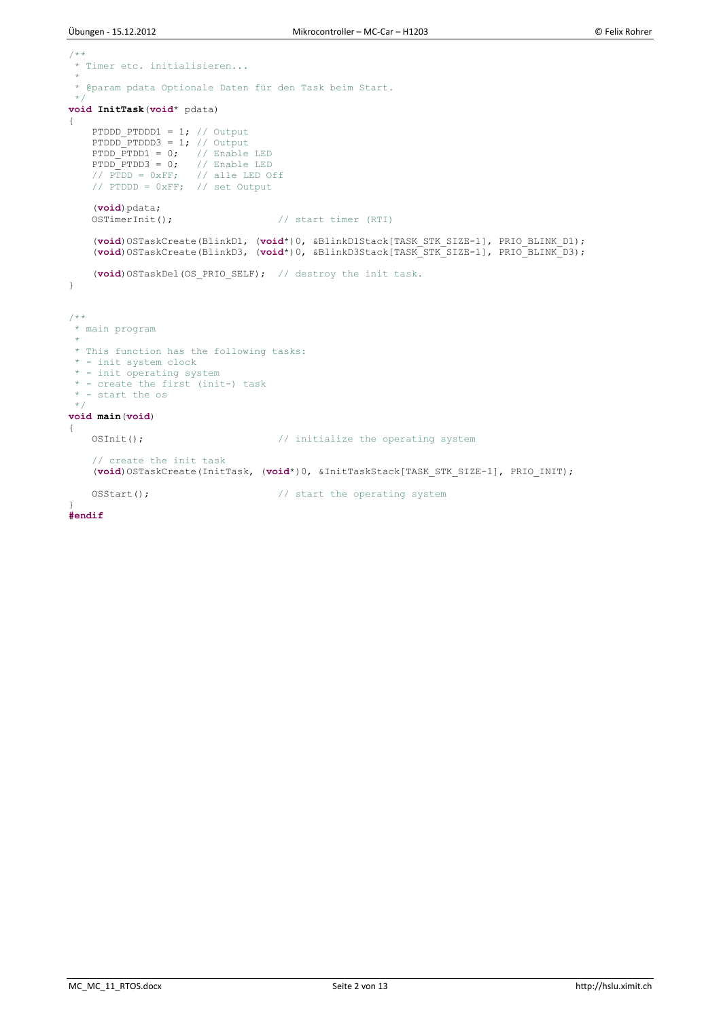```
/**
* Timer etc. initialisieren...
*
* @param pdata Optionale Daten für den Task beim Start.
* /
void InitTask(void* pdata)
{
   PTDDD PTDDD1 = 1; // Output
PTDDD PTDDD3 = 1; // Output
PTDD PTDD1 = 0; // Enable LED
PTDD PTDD3 = 0; // Enable LED
// PTDD = 0xFF; // alle LED Off
 // PTDDD = 0xFF; // set Output
    (void)pdata; 
   OSTimerInit(); \frac{1}{2} // start timer (RTI)
 (void)OSTaskCreate(BlinkD1, (void*)0, &BlinkD1Stack[TASK_STK_SIZE-1], PRIO_BLINK_D1);
 (void)OSTaskCreate(BlinkD3, (void*)0, &BlinkD3Stack[TASK_STK_SIZE-1], PRIO_BLINK_D3);
     (void)OSTaskDel(OS_PRIO_SELF); // destroy the init task.
}
/**
* main program
 * 
 * This function has the following tasks:
 * - init system clock
 * - init operating system
 * - create the first (init-) task
 * - start the os
 \starvoid main(void) 
{
   OSInit(); \frac{1}{2} // initialize the operating system
    // create the init task
    (void)OSTaskCreate(InitTask, (void*)0, &InitTaskStack[TASK_STK_SIZE-1], PRIO_INIT); 
   OSStart(); \frac{1}{2} // start the operating system
}
#endif
```
MC\_MC\_11\_RTOS.docx Seite 2 von 13 http://hslu.ximit.ch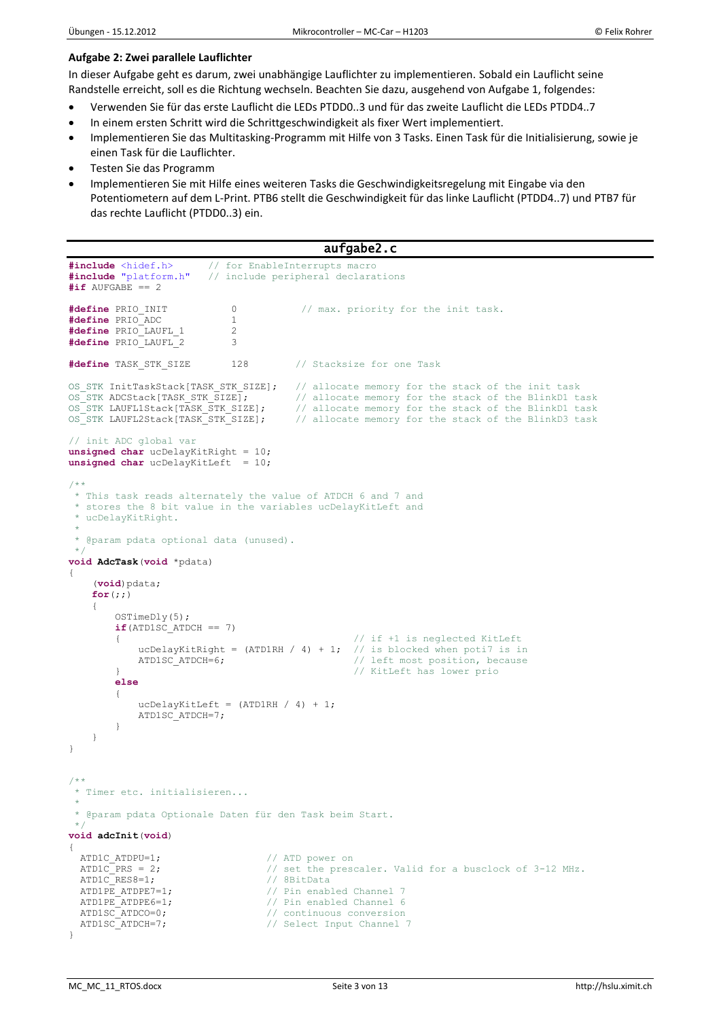## **Aufgabe 2: Zwei parallele Lauflichter**

In dieser Aufgabe geht es darum, zwei unabhängige Lauflichter zu implementieren. Sobald ein Lauflicht seine

- Randstelle erreicht, soll es die Richtung wechseln. Beachten Sie dazu, ausgehend von Aufgabe 1, folgendes:
- Verwenden Sie für das erste Lauflicht die LEDs PTDD0..3 und für das zweite Lauflicht die LEDs PTDD4..7
- In einem ersten Schritt wird die Schrittgeschwindigkeit als fixer Wert implementiert.
- Implementieren Sie das Multitasking-Programm mit Hilfe von 3 Tasks. Einen Task für die Initialisierung, sowie je einen Task für die Lauflichter.
- Testen Sie das Programm
- Implementieren Sie mit Hilfe eines weiteren Tasks die Geschwindigkeitsregelung mit Eingabe via den Potentiometern auf dem L-Print. PTB6 stellt die Geschwindigkeit für das linke Lauflicht (PTDD4..7) und PTB7 für das rechte Lauflicht (PTDD0..3) ein.

```
aufgabe2.c 
#include <hidef.h> // for EnableInterrupts macro<br>#include "platform.h" // include peripheral declara
                              \frac{1}{4} include peripheral declarations
#if AUFGABE == 2
#define PRIO_INIT 0 		 // max. priority for the init task.<br>#define PRIO_ADC 		 1
#define PRIO_ADC 1
#define PRIO_LAUFL_1 2
#define PRIO_LAUFL_2 3
#define TASK_STK_SIZE 128 // Stacksize for one Task
OS_STK InitTaskStack[TASK_STK_SIZE]; // allocate memory for the stack of the init task<br>OS_STK_ADCStack[TASK_STK_SIZE]; // allocate memory for the stack of the BlinkD1_t
OS_STK ADCStack[TASK_STK_SIZE]; // allocate memory for the stack of the BlinkD1 task<br>OS_STK_LAUFL1Stack[TASK_STK_SIZE]; // allocate memory for the stack of the BlinkD1 task
OS_STK LAUFL1Stack[TASK_STK_SIZE]; // allocate memory for the stack of the BlinkD1 task<br>OS_STK_LAUFL2Stack[TASK_STK_SIZE]; // allocate memory for the stack of the BlinkD3 task
                                                 \overline{C} allocate memory for the stack of the BlinkD3 task
// init ADC global var
unsigned char ucDelayKitRight = 10;
unsigned char ucDelayKitLeft = 10;
/**
 * This task reads alternately the value of ATDCH 6 and 7 and
 * stores the 8 bit value in the variables ucDelayKitLeft and 
 * ucDelayKitRight.
 *
 * @param pdata optional data (unused).
 */
void AdcTask(void *pdata)
{
      (void)pdata;
      for(;;)
      { 
           OSTimeDly(5);
          if(ATD1SC ATDCH == 7){1} {1} if +1 is neglected KitLeft<br>ucDelavKitRight = (ATD1RH / 4) + 1; // is blocked when poti7 is in
               ucDelayKitRight = (ATD1RH / 4) + 1;
               ATD1SC_ATDCH=6; \frac{1}{2} // left most position, because
           } // KitLeft has lower prio
           else
           {
               ucDelayKitLeft = (ATDIRH / 4) + 1; ATD1SC_ATDCH=7;
 }
      } 
}
/**
 * Timer etc. initialisieren...
 *
 * @param pdata Optionale Daten für den Task beim Start.
 */
void adcInit(void)
{ 
  ATD1C ATDPU=1; \frac{1}{2} // ATD power on
  ATD1C<sup>-</sup>PRS = 2; \frac{1}{2} // set the prescaler. Valid for a busclock of 3-12 MHz.<br>ATD1C<sup>-</sup>RES8=1; \frac{1}{2} // 8BitData
  ATD1C_RES8=1;<br>ATD1PE ATDPE7=1;
  ATD1PE_ATDPE7=1; \frac{1}{\sqrt{p}} Pin enabled Channel 7<br>ATD1PE_ATDPE6=1; \frac{1}{\sqrt{p}} Pin enabled Channel 6
                                           AT Pin enabled Channel 6
  ATD1SC_ATDCO=0;<br>ATD1SC_ATDCH=7;<br>// Select Input Channel
                                           // Select Input Channel 7
}
```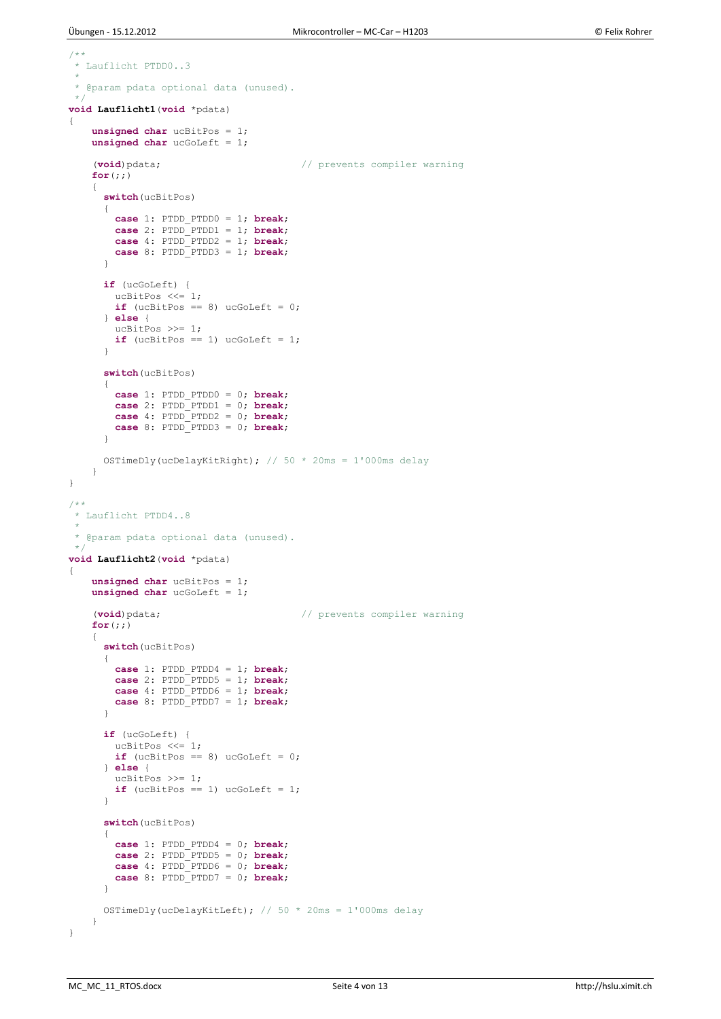```
/**
* Lauflicht PTDD0..3
 *
 * @param pdata optional data (unused).
 \starvoid Lauflicht1(void *pdata)
{
     unsigned char ucBitPos = 1;
    unsigned char ucGoLeft = 1;
     (void)pdata; // prevents compiler warning
     for(;;)
     {
       switch(ucBitPos)
       {
 case 1: PTDD_PTDD0 = 1; break;
 case 2: PTDD_PTDD1 = 1; break;
         case 4: PTDD_PTDD2 = 1; break;
         case 8: PTDD_PTDD3 = 1; break;
 }
       if (ucGoLeft) {
       ucBitPos \lt\lt= 1;
        if (ucBitPos == 8) ucGoLeft = 0;
       } else {
         ucBitPos >>= 1;
      if (ucBitPos == 1) ucGoLeft = 1;
 }
       switch(ucBitPos)
       {
         case 1: PTDD_PTDD0 = 0; break;
        case 2: PTDD_PTDD1 = 0; break;
        case 4: PTDD_PTDD2 = 0; break;
         case 8: PTDD_PTDD3 = 0; break;
       }
      OSTimeDly(ucDelayKitRight); // 50 * 20ms = 1'000ms delay
     }
}
/ * ** Lauflicht PTDD4..8
 *
 * @param pdata optional data (unused).
 */
void Lauflicht2(void *pdata)
{
     unsigned char ucBitPos = 1;
     unsigned char ucGoLeft = 1;
     (void)pdata; // prevents compiler warning
     for(;;)
\left\{\begin{array}{ccc} \end{array}\right\} switch(ucBitPos)
       {
        case 1: PTDD_PTDD4 = 1; break;
 case 2: PTDD_PTDD5 = 1; break;
 case 4: PTDD_PTDD6 = 1; break;
         case 8: PTDD_PTDD7 = 1; break;
 }
       if (ucGoLeft) {
         ucBitPos <<= 1;
        if (ucBitPos == 8) uccOLeft = 0; } else {
       ucBitPos \ \geq 1;if (ucBitPos == 1) uccOLeft = 1; }
       switch(ucBitPos)
\left\{\begin{array}{ccc} \end{array}\right\} case 1: PTDD_PTDD4 = 0; break;
 case 2: PTDD_PTDD5 = 0; break;
         case 4: PTDD_PTDD6 = 0; break;
         case 8: PTDD_PTDD7 = 0; break;
 }
      OSTimeDly(ucDelayKitLeft); // 50 * 20ms = 1'000ms delay
     }
}
```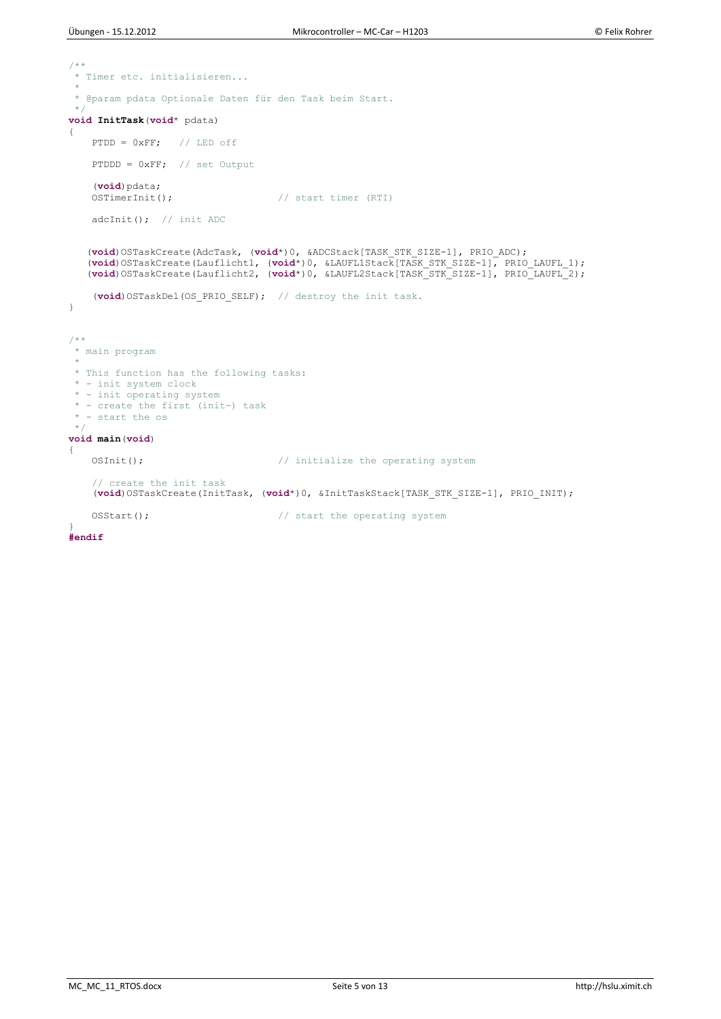```
/**
* Timer etc. initialisieren...
 *
 * @param pdata Optionale Daten für den Task beim Start.
 \Delta \phivoid InitTask(void* pdata)
{
   PTDD = 0xFF; // LED off
    PTDDD = 0xFF; // set Output
   (void)pdata;<br>OSTimerInit();
                                   // start timer (RTI)
   adcInit(); // init ADC
 (void)OSTaskCreate(AdcTask, (void*)0, &ADCStack[TASK_STK_SIZE-1], PRIO_ADC);
 (void)OSTaskCreate(Lauflicht1, (void*)0, &LAUFL1Stack[TASK_STK_SIZE-1], PRIO_LAUFL_1);
 (void)OSTaskCreate(Lauflicht2, (void*)0, &LAUFL2Stack[TASK_STK_SIZE-1], PRIO_LAUFL_2);
     (void)OSTaskDel(OS_PRIO_SELF); // destroy the init task.
}
/**
 * main program
 * 
 * This function has the following tasks:
 * - init system clock
 * - init operating system
 * - create the first (init-) task
 * - start the os
 */
void main(void) 
{
   OSInit(); \frac{1}{2} // initialize the operating system
     // create the init task
     (void)OSTaskCreate(InitTask, (void*)0, &InitTaskStack[TASK_STK_SIZE-1], PRIO_INIT); 
   OSStart(); \sqrt{2} // start the operating system
}
```
**#endif**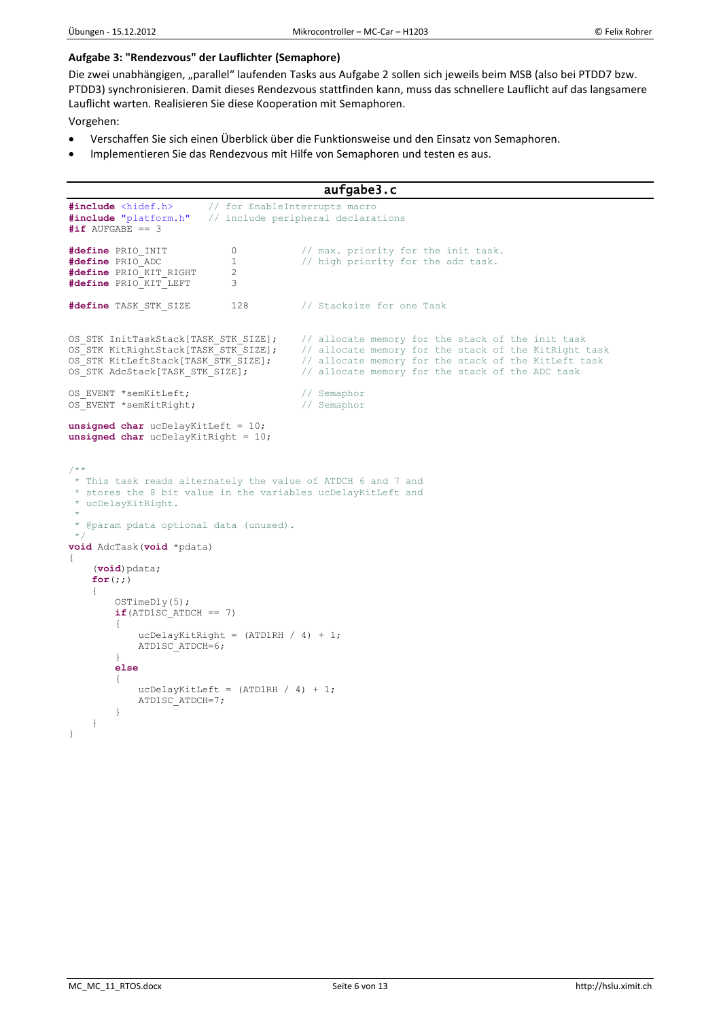### **Aufgabe 3: "Rendezvous" der Lauflichter (Semaphore)**

Die zwei unabhängigen, "parallel" laufenden Tasks aus Aufgabe 2 sollen sich jeweils beim MSB (also bei PTDD7 bzw. PTDD3) synchronisieren. Damit dieses Rendezvous stattfinden kann, muss das schnellere Lauflicht auf das langsamere Lauflicht warten. Realisieren Sie diese Kooperation mit Semaphoren.

Vorgehen:

- Verschaffen Sie sich einen Überblick über die Funktionsweise und den Einsatz von Semaphoren.
- Implementieren Sie das Rendezvous mit Hilfe von Semaphoren und testen es aus.

```
aufgabe3.c 
#include <hidef.h> // for EnableInterrupts macro<br>#include "platform.h" // include peripheral declara
                            // include peripheral declarations
\text{#if AUFGABE} = 3#define PRIO_INIT 0 0 // max. priority for the init task.
#define PRIO_ADC 1 // high priority for the adc task.<br>#define PRIO_KIT_RIGHT 2
#define PRIO_KIT_RIGHT 2
#define PRIO_KIT_LEFT 3
#define TASK_STK_SIZE 128 // Stacksize for one Task
OS_STK InitTaskStack[TASK_STK_SIZE]; // allocate memory for the stack of the init task<br>OS_STK_KitRightStack[TASK_STK_SIZE]; // allocate memory for the stack of the KitRight
                                              // allocate memory for the stack of the KitRight task
OS STK KitLeftStack[TASK STK SIZE]; // allocate memory for the stack of the KitLeft task
OS_STK AdcStack[TASK_STK_SIZE]; // allocate memory for the stack of the ADC task
OS_EVENT *semKitLeft; \begin{array}{ccc} \n\end{array} // Semaphor OS_EVENT *semKitRight; \begin{array}{ccc} \n\end{array} // Semaphor
OS_EVENT *semKitRight;
unsigned char ucDelayKitLeft = 10;
unsigned char ucDelayKitRight = 10;
/**
 * This task reads alternately the value of ATDCH 6 and 7 and
 * stores the 8 bit value in the variables ucDelayKitLeft and 
 * ucDelayKitRight.
 *
 * @param pdata optional data (unused).
 \rightarrowvoid AdcTask(void *pdata)
{
      (void)pdata;
    for (;;) { 
          OSTimeDly(5);
          if(ATD1SC_ATDCH == 7)
\{ucDelayKitRight = (ATDIRH / 4) + 1; ATD1SC_ATDCH=6;
 }
          else
\{ucDelayKitLeft = (ATDIRH / 4) + 1; ATD1SC_ATDCH=7;
 }
     } 
}
```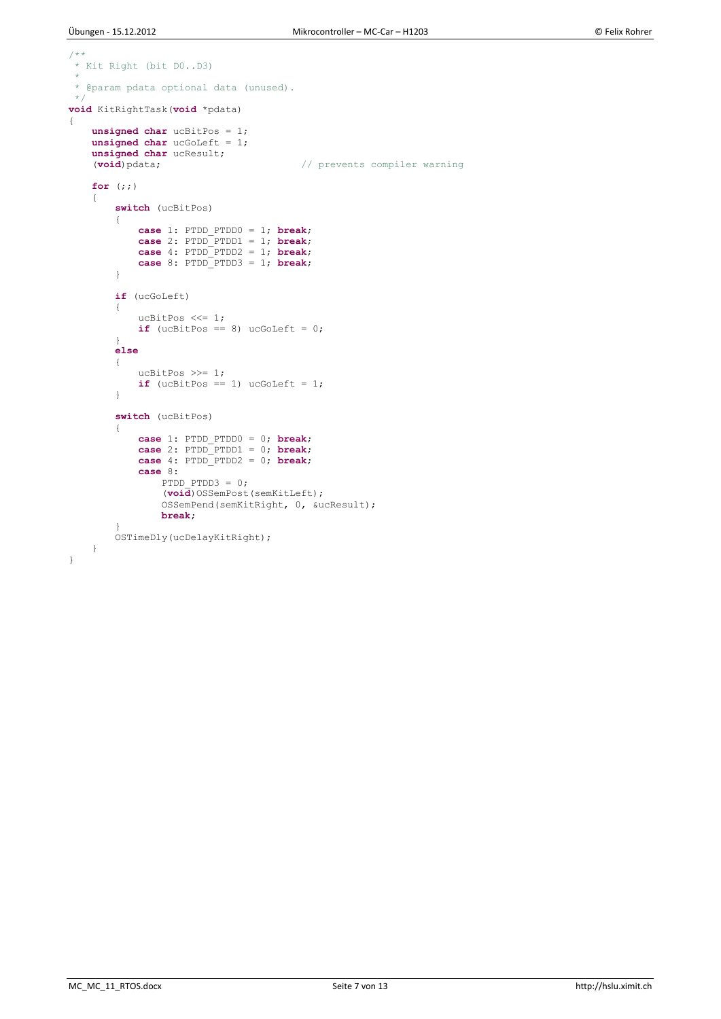```
/**
* Kit Right (bit D0..D3)
*
* @param pdata optional data (unused).
*/
void KitRightTask(void *pdata)
{
 unsigned char ucBitPos = 1;
 unsigned char ucGoLeft = 1;
   unsigned char ucResult;<br>(void) pdata;
                                       // prevents compiler warning
     for (;;)
     {
         switch (ucBitPos)
         {
            case 1: PTDD_PTDD0 = 1; break; 
 case 2: PTDD_PTDD1 = 1; break;
 case 4: PTDD_PTDD2 = 1; break;
 case 8: PTDD_PTDD3 = 1; break;
         }
        if (ucGoLeft)
         {
            ucBitPos <<= 1;
           if (ucBitPos == 8) ucGoLeft = 0;
         }
         else
         {
            ucBitPos >>= 1;
           if (ucBitPos == 1) ucGoLeft = 1;
 }
         switch (ucBitPos)
         {
            case 1: PTDD_PTDD0 = 0; break; 
 case 2: PTDD_PTDD1 = 0; break;
 case 4: PTDD_PTDD2 = 0; break;
            case 8: 
               PTDD PTDD3 = 0;(void)OSSemPost(semKitLeft);
                OSSemPend(semKitRight, 0, &ucResult);
               break;
 } 
       .<br>OSTimeDly(ucDelayKitRight);
    }
}
```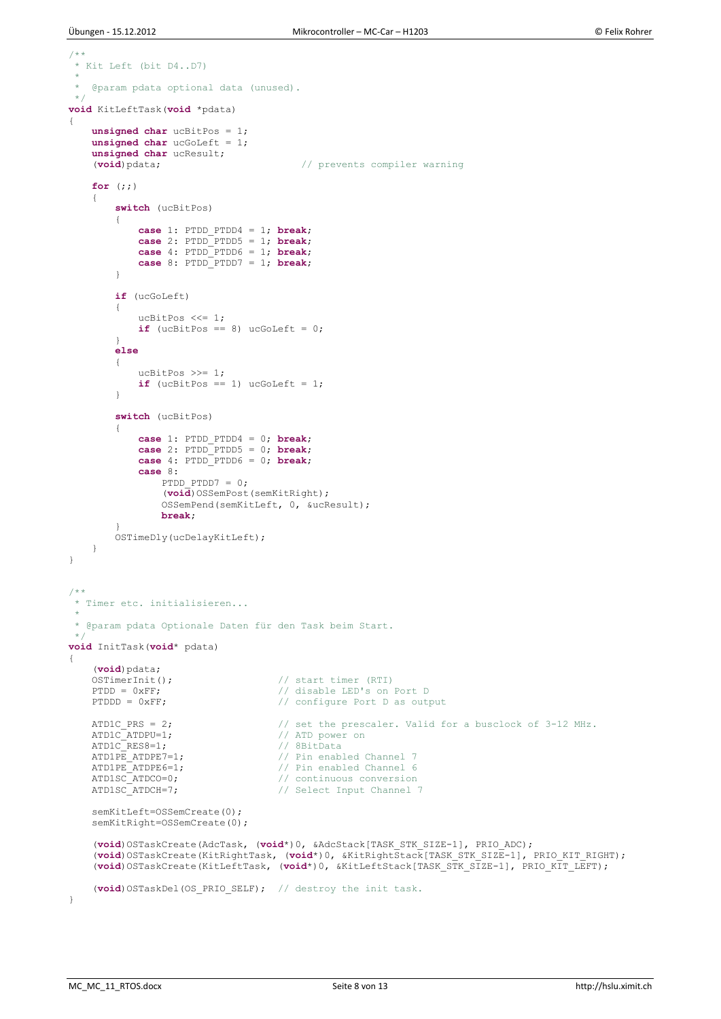```
/**
 * Kit Left (bit D4..D7)
 *
   @param pdata optional data (unused).
 */
void KitLeftTask(void *pdata)
{
     unsigned char ucBitPos = 1;
     unsigned char ucGoLeft = 1;
    unsigned char ucResult;<br>(void) pdata;
                                           (void)pdata; // prevents compiler warning
     for (;;)
     {
         switch (ucBitPos)
         {
             case 1: PTDD_PTDD4 = 1; break; 
             case 2: PTDD_PTDD5 = 1; break;
             case 4: PTDD_PTDD6 = 1; break;
             case 8: PTDD_PTDD7 = 1; break;
         }
         if (ucGoLeft)
\{ ucBitPos <<= 1;
            if (ucBitPos == 8) uccOLeft = 0; }
         else
\{ ucBitPos >>= 1;
            if (ucBitPos == 1) uccOLeft = 1; }
         switch (ucBitPos)
         {
             case 1: PTDD_PTDD4 = 0; break; 
             case 2: PTDD_PTDD5 = 0; break;
             case 4: PTDD_PTDD6 = 0; break;
             case 8: 
                 PTDD PTDD7 = 0;(void)OSSemPost(semKitRight);
                  OSSemPend(semKitLeft, 0, &ucResult);
                break;
 }
         OSTimeDly(ucDelayKitLeft);
     }
} 
/ * ** Timer etc. initialisieren...
 *
 * @param pdata Optionale Daten für den Task beim Start.
 */
void InitTask(void* pdata)
{
    (void)pdata;<br>OSTimerInit();
                                      // start timer (RTI)
    PTDD = 0xFF;<br>
PTDD = 0xFF;<br>
PTDDD = 0xFF;<br>
// configure Port D as out;
                                      // configure Port D as output
   ATD1C_PRS = 2; \frac{1}{2} // set the prescaler. Valid for a busclock of 3-12 MHz.<br>ATD1C_ATDPU=1; \frac{1}{2} // ATD power on
ATD1C ATDPU=1; \frac{1}{1} // ATD power on
ATD1C_RES8=1; // 8BitData
    ATD1PE ATDPE7=1; \sqrt{p} Pin enabled Channel 7
    ATD1PE_ATDPE6=1;<br>ATD1SC_ATDCO=0;<br>// continuous conversion
                                      // continuous conversion
   ATD1SC_ATDCH=7; \frac{1}{2} // Select Input Channel 7
    semKitLeft=OSSemCreate(0);
    semKitRight=OSSemCreate(0);
     (void)OSTaskCreate(AdcTask, (void*)0, &AdcStack[TASK_STK_SIZE-1], PRIO_ADC);
     (void)OSTaskCreate(KitRightTask, (void*)0, &KitRightStack[TASK_STK_SIZE-1], PRIO_KIT_RIGHT);
     (void)OSTaskCreate(KitLeftTask, (void*)0, &KitLeftStack[TASK_STK_SIZE-1], PRIO_KIT_LEFT);
     (void)OSTaskDel(OS_PRIO_SELF); // destroy the init task.
}
```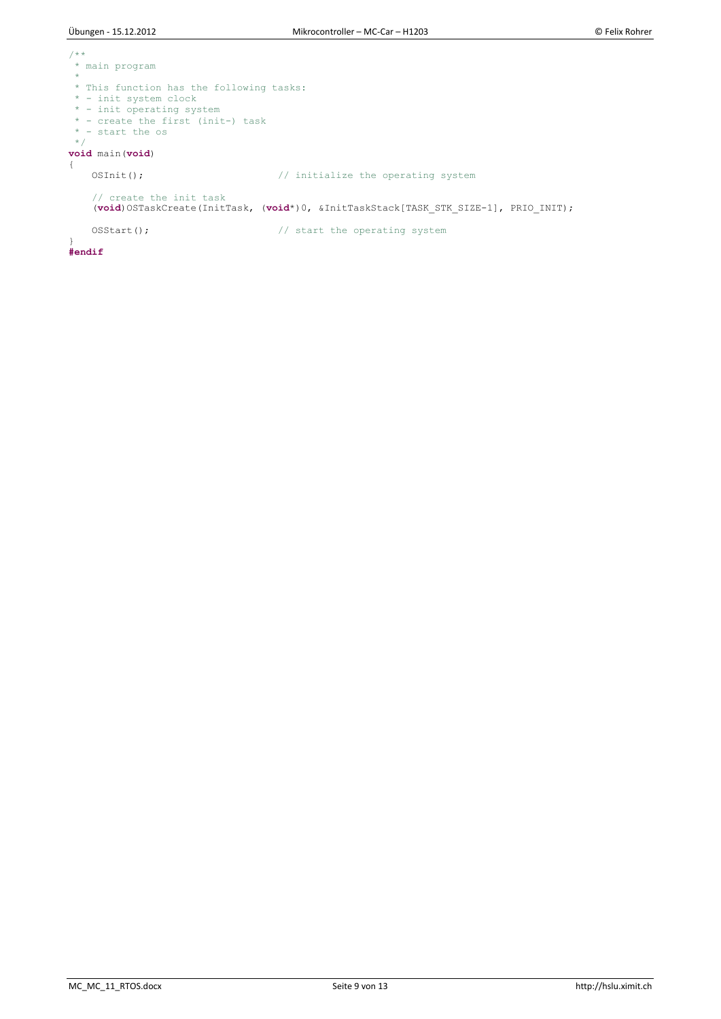```
/**
* main program
* 
* This function has the following tasks:
 * - init system clock
 * - init operating system
 * - create the first (init-) task
 * - start the os
 */
void main(void) 
{
   OSInit(); \sqrt{ } // initialize the operating system
    // create the init task
   (void)OSTaskCreate(InitTask, (void*)0, &InitTaskStack[TASK_STK_SIZE-1], PRIO_INIT);
   OSStart(); \sqrt{2} // start the operating system
}
#endif
```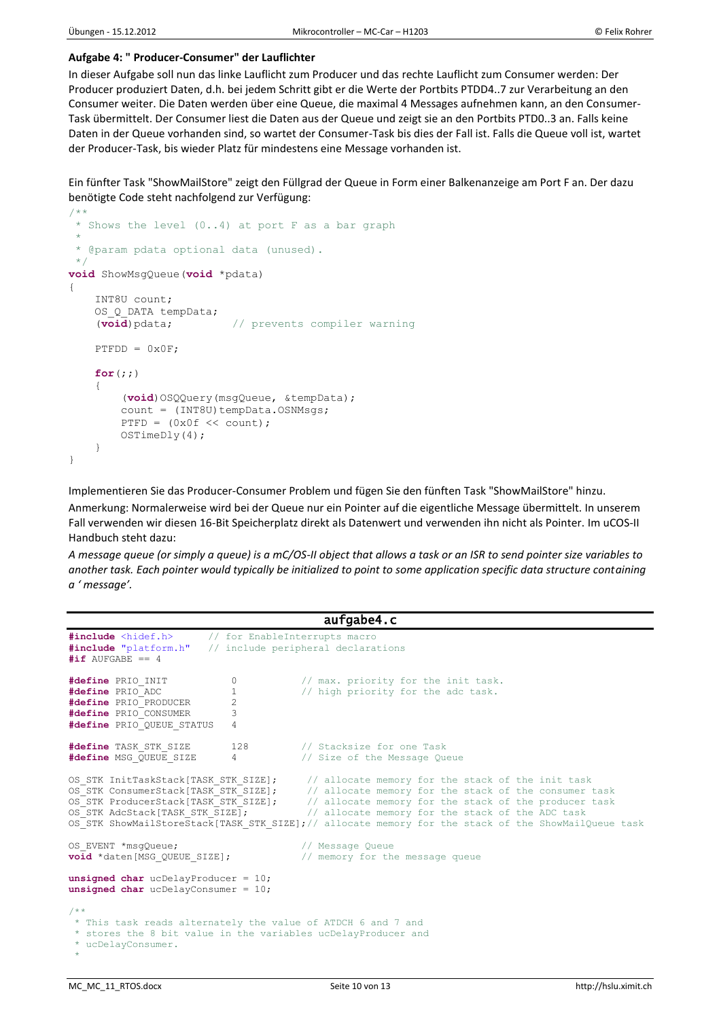### **Aufgabe 4: " Producer-Consumer" der Lauflichter**

In dieser Aufgabe soll nun das linke Lauflicht zum Producer und das rechte Lauflicht zum Consumer werden: Der Producer produziert Daten, d.h. bei jedem Schritt gibt er die Werte der Portbits PTDD4..7 zur Verarbeitung an den Consumer weiter. Die Daten werden über eine Queue, die maximal 4 Messages aufnehmen kann, an den Consumer-Task übermittelt. Der Consumer liest die Daten aus der Queue und zeigt sie an den Portbits PTD0..3 an. Falls keine Daten in der Queue vorhanden sind, so wartet der Consumer-Task bis dies der Fall ist. Falls die Queue voll ist, wartet der Producer-Task, bis wieder Platz für mindestens eine Message vorhanden ist.

Ein fünfter Task "ShowMailStore" zeigt den Füllgrad der Queue in Form einer Balkenanzeige am Port F an. Der dazu benötigte Code steht nachfolgend zur Verfügung:

```
/**
* Shows the level (0..4) at port F as a bar graph
 *
 * @param pdata optional data (unused).
 */
void ShowMsgQueue(void *pdata)
{
     INT8U count;
     OS_Q_DATA tempData;
     (void)pdata; // prevents compiler warning
    PTFDD = 0x0F; for(;;)
     {
         (void)OSQQuery(msgQueue, &tempData);
        count = (INT8U) tempData.OSNMsgs;PTFD = (0x0f \ll count); OSTimeDly(4);
     }
}
```
Implementieren Sie das Producer-Consumer Problem und fügen Sie den fünften Task "ShowMailStore" hinzu.

Anmerkung: Normalerweise wird bei der Queue nur ein Pointer auf die eigentliche Message übermittelt. In unserem Fall verwenden wir diesen 16-Bit Speicherplatz direkt als Datenwert und verwenden ihn nicht als Pointer. Im uCOS-II Handbuch steht dazu:

*A message queue (or simply a queue) is a mC/OS-II object that allows a task or an ISR to send pointer size variables to another task. Each pointer would typically be initialized to point to some application specific data structure containing a ' message'.*

```
aufgabe4.c 
#include <hidef.h> // for EnableInterrupts macro<br>#include "platform.h" // include peripheral declara
                        // include peripheral declarations
\text{#if AUFGABE} = 4#define PRIO_INIT 0 // max. priority for the init task.
#define PRIO ADC 1 // high priority for the adc task.
#define PRIO_PRODUCER 2
#define PRIO_CONSUMER 3
#define PRIO_QUEUE_STATUS 4
#define TASK_STK_SIZE 128 // Stacksize for one Task
#define MSG QUEUE SIZE 4 // Size of the Message Queue
OS STK InitTaskStack[TASK STK SIZE]; // allocate memory for the stack of the init task
OS_STK ConsumerStack[TASK_STK_SIZE]; // allocate memory for the stack of the consumer task
OS STK ProducerStack[TASK STK SIZE]; // allocate memory for the stack of the producer task
OS STK AdcStack[TASK STK SIZE]; // allocate memory for the stack of the ADC task
OS STK ShowMailStoreStack[TASK STK SIZE];// allocate memory for the stack of the ShowMailQueue task
OS_EVENT *msgQueue;<br>
void *daten[MSG OUEUE SIZE];<br>
// memory for th
                                       // memory for the message queue
unsigned char ucDelayProducer = 10;
unsigned char ucDelayConsumer = 10;
/ \star \star* This task reads alternately the value of ATDCH 6 and 7 and
 * stores the 8 bit value in the variables ucDelayProducer and 
 * ucDelayConsumer.
 *
```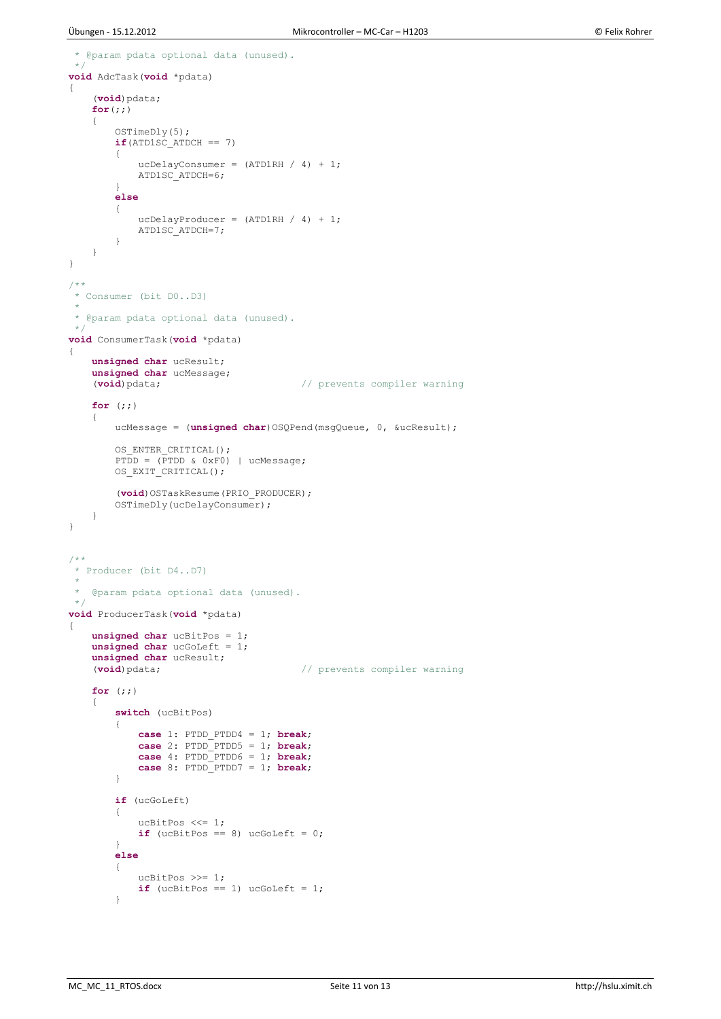```
@param pdata optional data (unused).
 \ddot{\phantom{0}}void AdcTask(void *pdata)
{
     (void)pdata;
     for(;;)
\left\{ \begin{array}{c} \end{array} \right. OSTimeDly(5);
        if(ATD1SC ATDCH == 7) {
            ucDelayConsumer = (ATDIRH / 4) + 1; ATD1SC_ATDCH=6;
 }
         else
\overline{\mathcal{L}}ucDelayProducer = (ATDIRH / 4) + 1; ATD1SC_ATDCH=7;
 }
     } 
}
/**
 * Consumer (bit D0..D3)
 *
 * @param pdata optional data (unused).
 \starvoid ConsumerTask(void *pdata)
{
     unsigned char ucResult;
     unsigned char ucMessage;
                                           (void)pdata; // prevents compiler warning
     for (;;)
     {
         ucMessage = (unsigned char)OSQPend(msgQueue, 0, &ucResult);
         OS_ENTER_CRITICAL();
        PTDD = (PTDD & OxF0) | ucMessage;
        OS EXIT CRITICAL();
        (void)OSTaskResume(PRIO_PRODUCER);
         OSTimeDly(ucDelayConsumer);
     }
}
/ \star \star* Producer (bit D4..D7)
 *
   @param pdata optional data (unused).
 */
void ProducerTask(void *pdata)
{
     unsigned char ucBitPos = 1;
     unsigned char ucGoLeft = 1;
    unsigned char ucResult;<br>(void) pdata;
                                          // prevents compiler warning
     for (;;)
     {
         switch (ucBitPos)
\overline{\mathcal{L}} case 1: PTDD_PTDD4 = 1; break;
 case 2: PTDD_PTDD5 = 1; break;
 case 4: PTDD_PTDD6 = 1; break;
 case 8: PTDD_PTDD7 = 1; break;
 }
         if (ucGoLeft)
\overline{\mathcal{L}} ucBitPos <<= 1;
if (ucBitPos == 8) uCGOLEf<sub>t</sub> = 0; }
         else
         {
 ucBitPos >>= 1;
if (ucBitPos == 1) uccOLeft = 1; }
```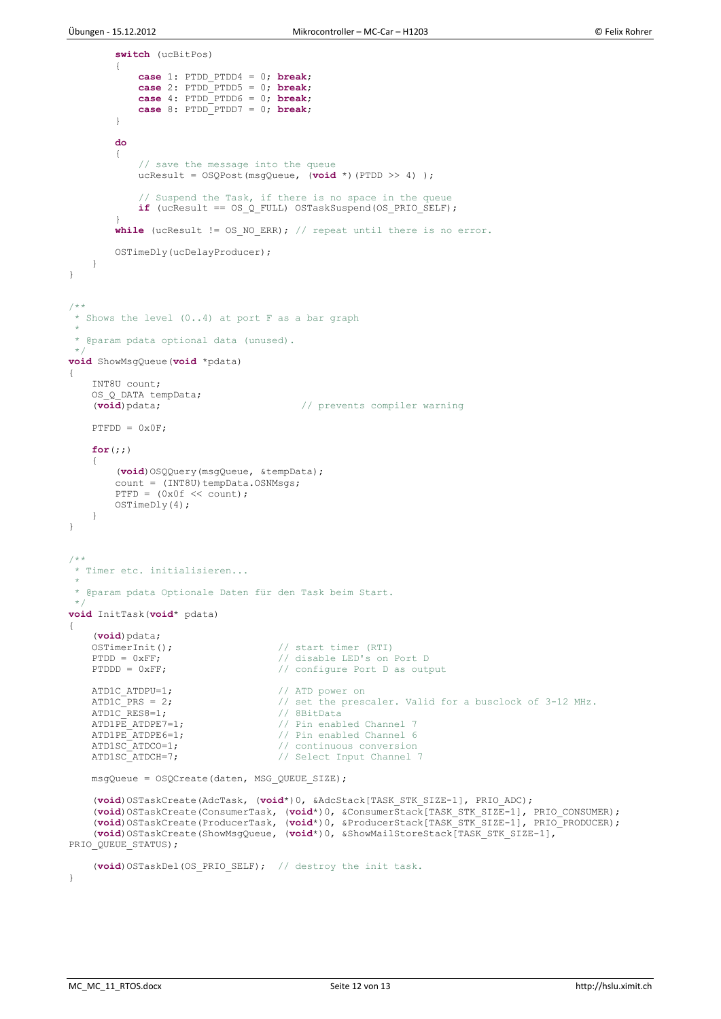```
 switch (ucBitPos)
\{ case 1: PTDD_PTDD4 = 0; break; 
              case 2: PTDD_PTDD5 = 0; break;
              case 4: PTDD_PTDD6 = 0; break;
              case 8: PTDD_PTDD7 = 0; break;
 }
         do
\overline{\mathcal{L}} // save the message into the queue
              ucResult = OSQPost(msgQueue, (void *)(PTDD >> 4) );
              // Suspend the Task, if there is no space in the queue
              if (ucResult == OS_Q_FULL) OSTaskSuspend(OS_PRIO_SELF);
 }
        while (ucResult != OS_NO_ERR); // repeat until there is no error.
         OSTimeDly(ucDelayProducer);
     }
} 
/**
 * Shows the level (0..4) at port F as a bar graph
 *
 * @param pdata optional data (unused).
 \star.
void ShowMsgQueue(void *pdata)
{
     INT8U count;
    OS_Q_DATA tempData;<br>(void)pdata;
                                           // prevents compiler warning
    PTFDD = 0x0F; for(;;)
     {
          (void)OSQQuery(msgQueue, &tempData);
count = (INT8U)tempData.OSNMsgs;
PTFD = (0x0f \ll count); OSTimeDly(4);
     }
}
/ \star \star* Timer etc. initialisieren...
 *
 * @param pdata Optionale Daten für den Task beim Start.
 */
void InitTask(void* pdata)
{
     (void)pdata;
    OSTimerInit(); \frac{1}{2} // start timer (RTI)
    PTDD = 0xF;<br>
PTDDD = 0xF;<br>
PTDDD = 0xF;<br>
\frac{1}{2} // configure Port D as out
                                       // configure Port D as output
    ATD1C ATDPU=1; \frac{1}{2} // ATD power on
    ATD1C_PRS = 2; \frac{1}{2} // set the prescaler. Valid for a busclock of 3-12 MHz.<br>ATD1C_RES8=1; \frac{1}{2} // 8BitData
    ATD1C<sub>—</sub>RES8=1;<br>ATD1PE ATDPE7=1;ATD1PE_ATDPE7=1;<br>ATD1PE_ATDPE6=1;<br>// Pin enabled Channel 6
    ATD1PE_ATDPE6=1;<br>ATD1SC ATDCO=1; \frac{1}{\sqrt{2}} continuous conversion
                                       // continuous conversion
    ATD1SC ATDCH=7; \frac{1}{2} // Select Input Channel 7
     msgQueue = OSQCreate(daten, MSG_QUEUE_SIZE);
     (void)OSTaskCreate(AdcTask, (void*)0, &AdcStack[TASK_STK_SIZE-1], PRIO_ADC);
     (void)OSTaskCreate(ConsumerTask, (void*)0, &ConsumerStack[TASK_STK_SIZE-1], PRIO_CONSUMER);
 (void)OSTaskCreate(ProducerTask, (void*)0, &ProducerStack[TASK_STK_SIZE-1], PRIO_PRODUCER);
 (void)OSTaskCreate(ShowMsgQueue, (void*)0, &ShowMailStoreStack[TASK_STK_SIZE-1], 
PRIO_QUEUE_STATUS); 
    (void)OSTaskDel(OS_PRIO_SELF); // destroy the init task.
}
```